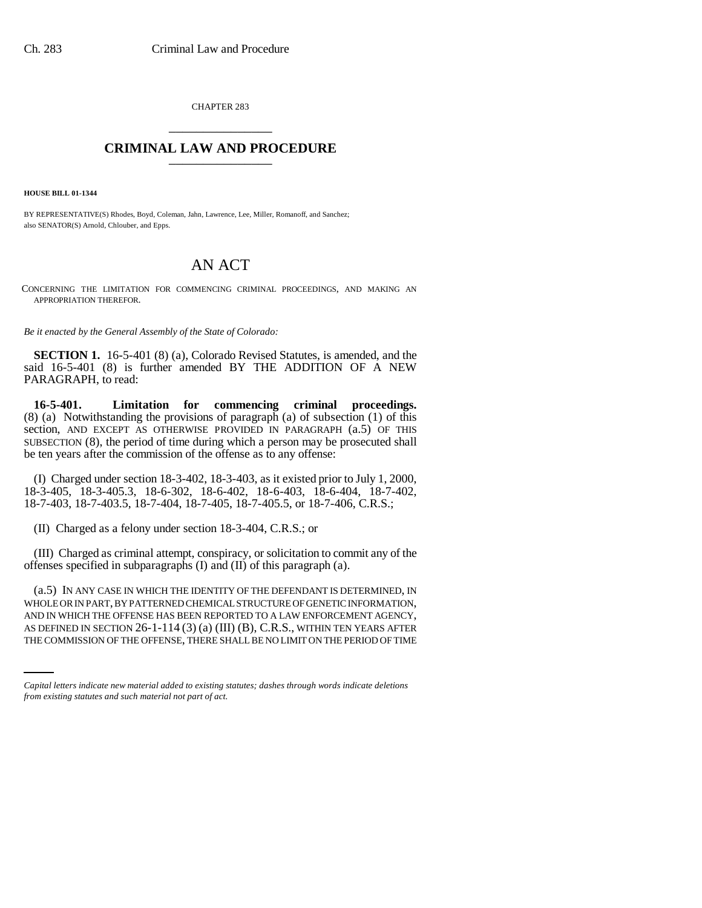CHAPTER 283 \_\_\_\_\_\_\_\_\_\_\_\_\_\_\_

## **CRIMINAL LAW AND PROCEDURE** \_\_\_\_\_\_\_\_\_\_\_\_\_\_\_

**HOUSE BILL 01-1344**

BY REPRESENTATIVE(S) Rhodes, Boyd, Coleman, Jahn, Lawrence, Lee, Miller, Romanoff, and Sanchez; also SENATOR(S) Arnold, Chlouber, and Epps.

## AN ACT

CONCERNING THE LIMITATION FOR COMMENCING CRIMINAL PROCEEDINGS, AND MAKING AN APPROPRIATION THEREFOR.

*Be it enacted by the General Assembly of the State of Colorado:*

**SECTION 1.** 16-5-401 (8) (a), Colorado Revised Statutes, is amended, and the said 16-5-401 (8) is further amended BY THE ADDITION OF A NEW PARAGRAPH, to read:

**16-5-401. Limitation for commencing criminal proceedings.** (8) (a) Notwithstanding the provisions of paragraph (a) of subsection (1) of this section, AND EXCEPT AS OTHERWISE PROVIDED IN PARAGRAPH  $(a.5)$  OF THIS SUBSECTION (8), the period of time during which a person may be prosecuted shall be ten years after the commission of the offense as to any offense:

(I) Charged under section 18-3-402, 18-3-403, as it existed prior to July 1, 2000, 18-3-405, 18-3-405.3, 18-6-302, 18-6-402, 18-6-403, 18-6-404, 18-7-402, 18-7-403, 18-7-403.5, 18-7-404, 18-7-405, 18-7-405.5, or 18-7-406, C.R.S.;

(II) Charged as a felony under section 18-3-404, C.R.S.; or

(III) Charged as criminal attempt, conspiracy, or solicitation to commit any of the offenses specified in subparagraphs (I) and (II) of this paragraph (a).

AND IN WHICH THE OFFENSE HAS BEEN REPORTED TO A LAW ENFORCEMENT AGENCY, (a.5) IN ANY CASE IN WHICH THE IDENTITY OF THE DEFENDANT IS DETERMINED, IN WHOLE OR IN PART, BY PATTERNED CHEMICAL STRUCTURE OF GENETIC INFORMATION, AS DEFINED IN SECTION 26-1-114 (3) (a) (III) (B), C.R.S., WITHIN TEN YEARS AFTER THE COMMISSION OF THE OFFENSE, THERE SHALL BE NO LIMIT ON THE PERIOD OF TIME

*Capital letters indicate new material added to existing statutes; dashes through words indicate deletions from existing statutes and such material not part of act.*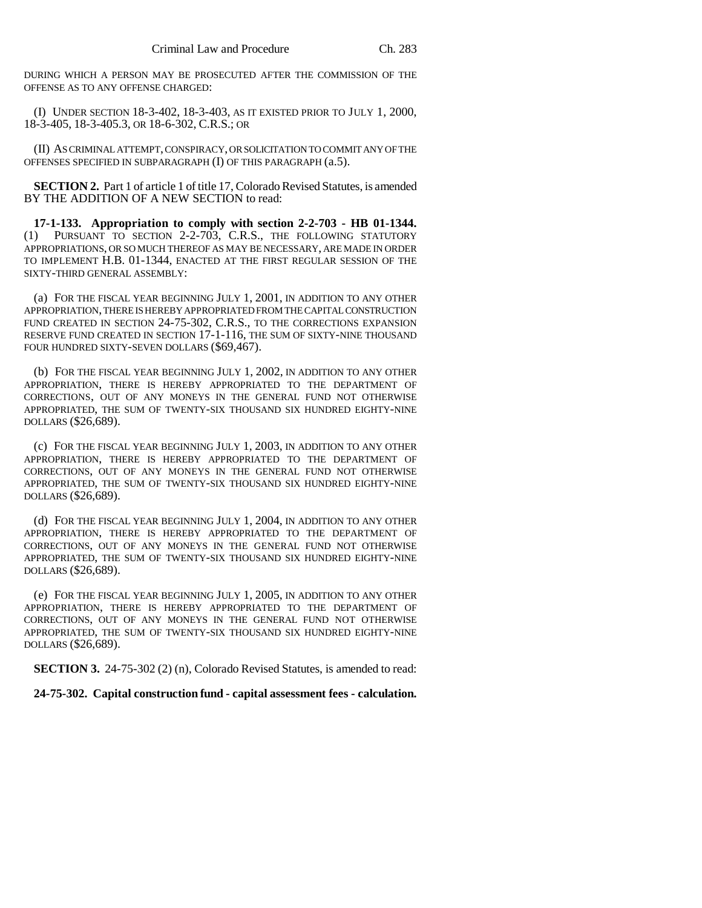DURING WHICH A PERSON MAY BE PROSECUTED AFTER THE COMMISSION OF THE OFFENSE AS TO ANY OFFENSE CHARGED:

(I) UNDER SECTION 18-3-402, 18-3-403, AS IT EXISTED PRIOR TO JULY 1, 2000, 18-3-405, 18-3-405.3, OR 18-6-302, C.R.S.; OR

(II) AS CRIMINAL ATTEMPT, CONSPIRACY, OR SOLICITATION TO COMMIT ANY OF THE OFFENSES SPECIFIED IN SUBPARAGRAPH (I) OF THIS PARAGRAPH (a.5).

**SECTION 2.** Part 1 of article 1 of title 17, Colorado Revised Statutes, is amended BY THE ADDITION OF A NEW SECTION to read:

**17-1-133. Appropriation to comply with section 2-2-703 - HB 01-1344.** (1) PURSUANT TO SECTION 2-2-703, C.R.S., THE FOLLOWING STATUTORY APPROPRIATIONS, OR SO MUCH THEREOF AS MAY BE NECESSARY, ARE MADE IN ORDER TO IMPLEMENT H.B. 01-1344, ENACTED AT THE FIRST REGULAR SESSION OF THE SIXTY-THIRD GENERAL ASSEMBLY:

(a) FOR THE FISCAL YEAR BEGINNING JULY 1, 2001, IN ADDITION TO ANY OTHER APPROPRIATION, THERE IS HEREBY APPROPRIATED FROM THE CAPITAL CONSTRUCTION FUND CREATED IN SECTION 24-75-302, C.R.S., TO THE CORRECTIONS EXPANSION RESERVE FUND CREATED IN SECTION 17-1-116, THE SUM OF SIXTY-NINE THOUSAND FOUR HUNDRED SIXTY-SEVEN DOLLARS (\$69,467).

(b) FOR THE FISCAL YEAR BEGINNING JULY 1, 2002, IN ADDITION TO ANY OTHER APPROPRIATION, THERE IS HEREBY APPROPRIATED TO THE DEPARTMENT OF CORRECTIONS, OUT OF ANY MONEYS IN THE GENERAL FUND NOT OTHERWISE APPROPRIATED, THE SUM OF TWENTY-SIX THOUSAND SIX HUNDRED EIGHTY-NINE DOLLARS (\$26,689).

(c) FOR THE FISCAL YEAR BEGINNING JULY 1, 2003, IN ADDITION TO ANY OTHER APPROPRIATION, THERE IS HEREBY APPROPRIATED TO THE DEPARTMENT OF CORRECTIONS, OUT OF ANY MONEYS IN THE GENERAL FUND NOT OTHERWISE APPROPRIATED, THE SUM OF TWENTY-SIX THOUSAND SIX HUNDRED EIGHTY-NINE DOLLARS (\$26,689).

(d) FOR THE FISCAL YEAR BEGINNING JULY 1, 2004, IN ADDITION TO ANY OTHER APPROPRIATION, THERE IS HEREBY APPROPRIATED TO THE DEPARTMENT OF CORRECTIONS, OUT OF ANY MONEYS IN THE GENERAL FUND NOT OTHERWISE APPROPRIATED, THE SUM OF TWENTY-SIX THOUSAND SIX HUNDRED EIGHTY-NINE DOLLARS (\$26,689).

(e) FOR THE FISCAL YEAR BEGINNING JULY 1, 2005, IN ADDITION TO ANY OTHER APPROPRIATION, THERE IS HEREBY APPROPRIATED TO THE DEPARTMENT OF CORRECTIONS, OUT OF ANY MONEYS IN THE GENERAL FUND NOT OTHERWISE APPROPRIATED, THE SUM OF TWENTY-SIX THOUSAND SIX HUNDRED EIGHTY-NINE DOLLARS (\$26,689).

**SECTION 3.** 24-75-302 (2) (n), Colorado Revised Statutes, is amended to read:

**24-75-302. Capital construction fund - capital assessment fees - calculation.**